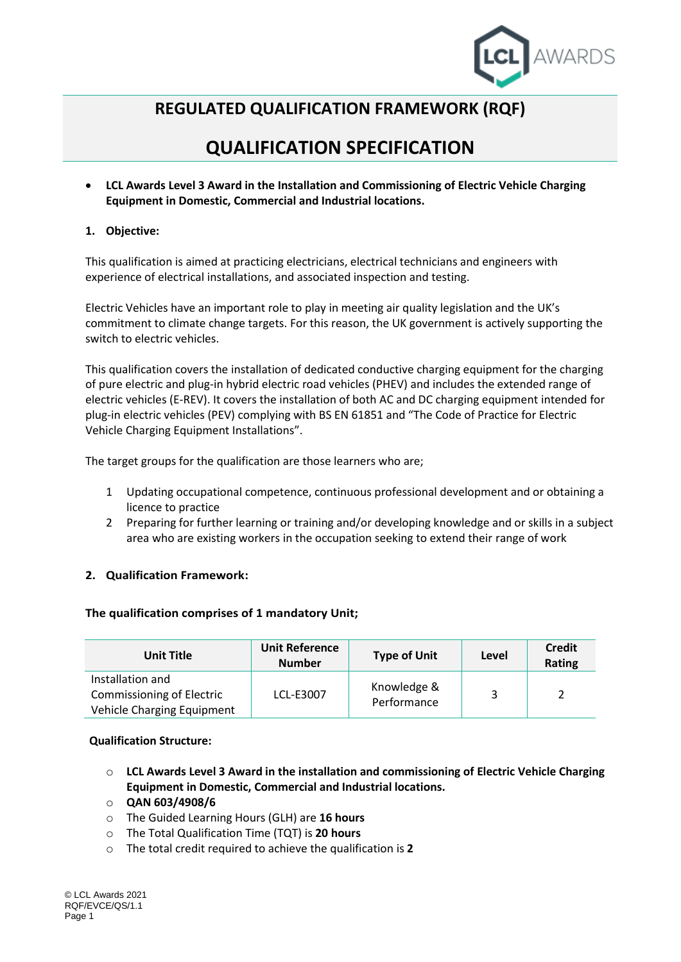

## **REGULATED QUALIFICATION FRAMEWORK (RQF)**

# **QUALIFICATION SPECIFICATION**

 **LCL Awards Level 3 Award in the Installation and Commissioning of Electric Vehicle Charging Equipment in Domestic, Commercial and Industrial locations.**

## **1. Objective:**

This qualification is aimed at practicing electricians, electrical technicians and engineers with experience of electrical installations, and associated inspection and testing.

Electric Vehicles have an important role to play in meeting air quality legislation and the UK's commitment to climate change targets. For this reason, the UK government is actively supporting the switch to electric vehicles.

This qualification covers the installation of dedicated conductive charging equipment for the charging of pure electric and plug-in hybrid electric road vehicles (PHEV) and includes the extended range of electric vehicles (E-REV). It covers the installation of both AC and DC charging equipment intended for plug-in electric vehicles (PEV) complying with BS EN 61851 and "The Code of Practice for Electric Vehicle Charging Equipment Installations".

The target groups for the qualification are those learners who are;

- 1 Updating occupational competence, continuous professional development and or obtaining a licence to practice
- 2 Preparing for further learning or training and/or developing knowledge and or skills in a subject area who are existing workers in the occupation seeking to extend their range of work

## **2. Qualification Framework:**

#### **The qualification comprises of 1 mandatory Unit;**

| <b>Unit Title</b>                                              | <b>Unit Reference</b><br><b>Number</b> | <b>Type of Unit</b> | Level | <b>Credit</b><br>Rating |
|----------------------------------------------------------------|----------------------------------------|---------------------|-------|-------------------------|
| Installation and                                               | LCL-E3007                              | Knowledge &         |       |                         |
| <b>Commissioning of Electric</b><br>Vehicle Charging Equipment |                                        | Performance         |       |                         |

#### **Qualification Structure:**

- o **LCL Awards Level 3 Award in the installation and commissioning of Electric Vehicle Charging Equipment in Domestic, Commercial and Industrial locations.**
- o **QAN 603/4908/6**
- o The Guided Learning Hours (GLH) are **16 hours**
- o The Total Qualification Time (TQT) is **20 hours**
- o The total credit required to achieve the qualification is **2**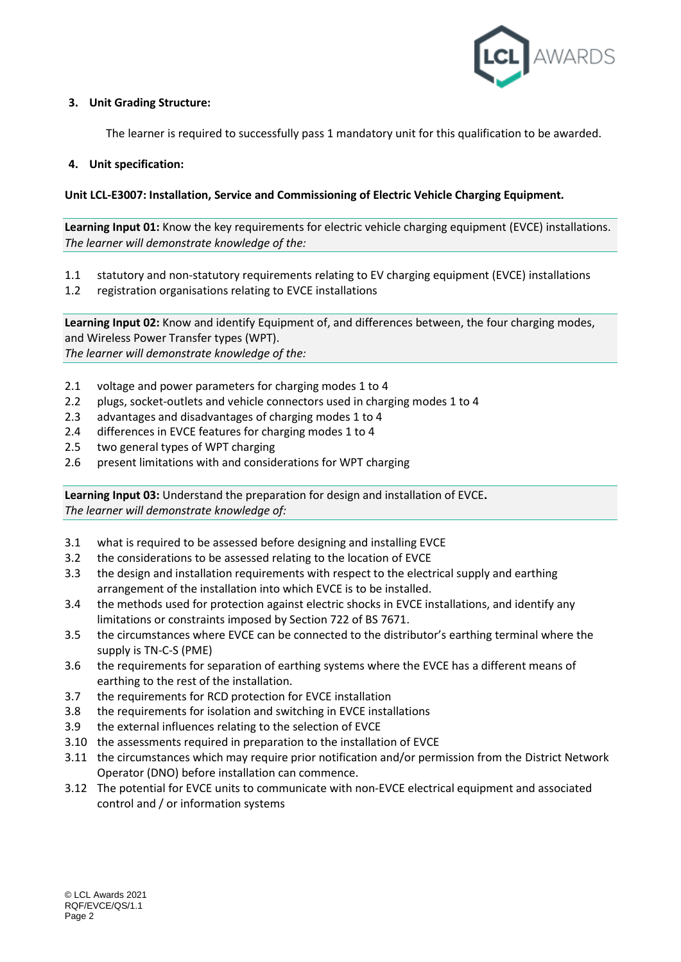

## **3. Unit Grading Structure:**

The learner is required to successfully pass 1 mandatory unit for this qualification to be awarded.

#### **4. Unit specification:**

## **Unit LCL-E3007: Installation, Service and Commissioning of Electric Vehicle Charging Equipment.**

**Learning Input 01:** Know the key requirements for electric vehicle charging equipment (EVCE) installations. *The learner will demonstrate knowledge of the:*

- 1.1 statutory and non-statutory requirements relating to EV charging equipment (EVCE) installations
- 1.2 registration organisations relating to EVCE installations

**Learning Input 02:** Know and identify Equipment of, and differences between, the four charging modes, and Wireless Power Transfer types (WPT). *The learner will demonstrate knowledge of the:*

- 2.1 voltage and power parameters for charging modes 1 to 4
- 2.2 plugs, socket-outlets and vehicle connectors used in charging modes 1 to 4
- 2.3 advantages and disadvantages of charging modes 1 to 4
- 2.4 differences in EVCE features for charging modes 1 to 4
- 2.5 two general types of WPT charging
- 2.6 present limitations with and considerations for WPT charging

**Learning Input 03:** Understand the preparation for design and installation of EVCE**.** *The learner will demonstrate knowledge of:*

- 3.1 what is required to be assessed before designing and installing EVCE
- 3.2 the considerations to be assessed relating to the location of EVCE
- 3.3 the design and installation requirements with respect to the electrical supply and earthing arrangement of the installation into which EVCE is to be installed.
- 3.4 the methods used for protection against electric shocks in EVCE installations, and identify any limitations or constraints imposed by Section 722 of BS 7671.
- 3.5 the circumstances where EVCE can be connected to the distributor's earthing terminal where the supply is TN-C-S (PME)
- 3.6 the requirements for separation of earthing systems where the EVCE has a different means of earthing to the rest of the installation.
- 3.7 the requirements for RCD protection for EVCE installation
- 3.8 the requirements for isolation and switching in EVCE installations
- 3.9 the external influences relating to the selection of EVCE
- 3.10 the assessments required in preparation to the installation of EVCE
- 3.11 the circumstances which may require prior notification and/or permission from the District Network Operator (DNO) before installation can commence.
- 3.12 The potential for EVCE units to communicate with non-EVCE electrical equipment and associated control and / or information systems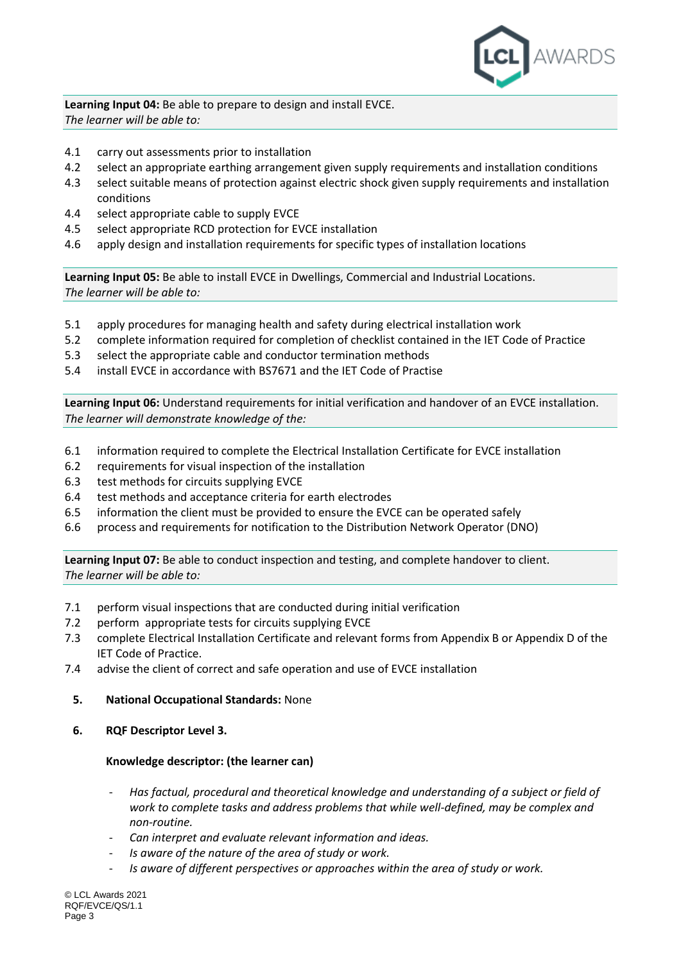

**Learning Input 04:** Be able to prepare to design and install EVCE. *The learner will be able to:*

- 4.1 carry out assessments prior to installation
- 4.2 select an appropriate earthing arrangement given supply requirements and installation conditions
- 4.3 select suitable means of protection against electric shock given supply requirements and installation conditions
- 4.4 select appropriate cable to supply EVCE
- 4.5 select appropriate RCD protection for EVCE installation
- 4.6 apply design and installation requirements for specific types of installation locations

**Learning Input 05:** Be able to install EVCE in Dwellings, Commercial and Industrial Locations. *The learner will be able to:*

- 5.1 apply procedures for managing health and safety during electrical installation work
- 5.2 complete information required for completion of checklist contained in the IET Code of Practice
- 5.3 select the appropriate cable and conductor termination methods
- 5.4 install EVCE in accordance with BS7671 and the IET Code of Practise

**Learning Input 06:** Understand requirements for initial verification and handover of an EVCE installation. *The learner will demonstrate knowledge of the:*

- 6.1 information required to complete the Electrical Installation Certificate for EVCE installation
- 6.2 requirements for visual inspection of the installation
- 6.3 test methods for circuits supplying EVCE
- 6.4 test methods and acceptance criteria for earth electrodes
- 6.5 information the client must be provided to ensure the EVCE can be operated safely
- 6.6 process and requirements for notification to the Distribution Network Operator (DNO)

**Learning Input 07:** Be able to conduct inspection and testing, and complete handover to client. *The learner will be able to:*

- 7.1 perform visual inspections that are conducted during initial verification
- 7.2 perform appropriate tests for circuits supplying EVCE
- 7.3 complete Electrical Installation Certificate and relevant forms from Appendix B or Appendix D of the IET Code of Practice.
- 7.4 advise the client of correct and safe operation and use of EVCE installation
	- **5. National Occupational Standards:** None
	- **6. RQF Descriptor Level 3.**

#### **Knowledge descriptor: (the learner can)**

- *Has factual, procedural and theoretical knowledge and understanding of a subject or field of work to complete tasks and address problems that while well-defined, may be complex and non-routine.*
- *Can interpret and evaluate relevant information and ideas.*
- *Is aware of the nature of the area of study or work.*
- Is aware of different perspectives or approaches within the area of study or work.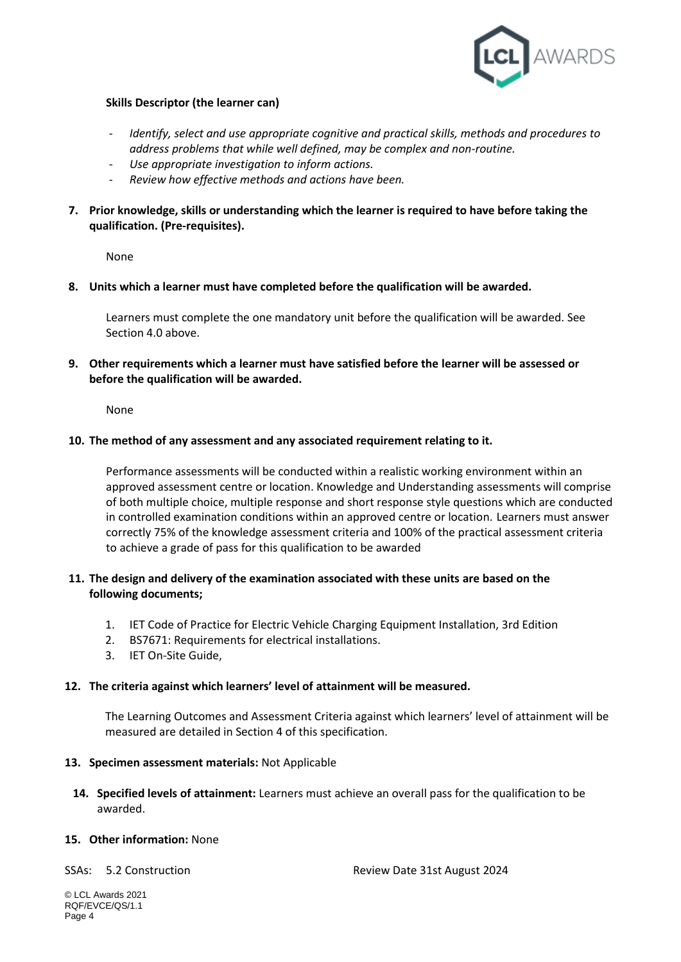

## **Skills Descriptor (the learner can)**

- *Identify, select and use appropriate cognitive and practical skills, methods and procedures to address problems that while well defined, may be complex and non-routine.*
- *Use appropriate investigation to inform actions.*
- *Review how effective methods and actions have been.*
- **7. Prior knowledge, skills or understanding which the learner is required to have before taking the qualification. (Pre-requisites).**

None

**8. Units which a learner must have completed before the qualification will be awarded.**

Learners must complete the one mandatory unit before the qualification will be awarded. See Section 4.0 above.

**9. Other requirements which a learner must have satisfied before the learner will be assessed or before the qualification will be awarded.**

None

## **10. The method of any assessment and any associated requirement relating to it.**

Performance assessments will be conducted within a realistic working environment within an approved assessment centre or location. Knowledge and Understanding assessments will comprise of both multiple choice, multiple response and short response style questions which are conducted in controlled examination conditions within an approved centre or location. Learners must answer correctly 75% of the knowledge assessment criteria and 100% of the practical assessment criteria to achieve a grade of pass for this qualification to be awarded

## **11. The design and delivery of the examination associated with these units are based on the following documents;**

- 1. IET Code of Practice for Electric Vehicle Charging Equipment Installation, 3rd Edition
- 2. BS7671: Requirements for electrical installations.
- 3. IET On-Site Guide,

#### **12. The criteria against which learners' level of attainment will be measured.**

The Learning Outcomes and Assessment Criteria against which learners' level of attainment will be measured are detailed in Section 4 of this specification.

#### **13. Specimen assessment materials:** Not Applicable

**14. Specified levels of attainment:** Learners must achieve an overall pass for the qualification to be awarded.

#### **15. Other information:** None

SSAs: 5.2 Construction Review Date 31st August 2024